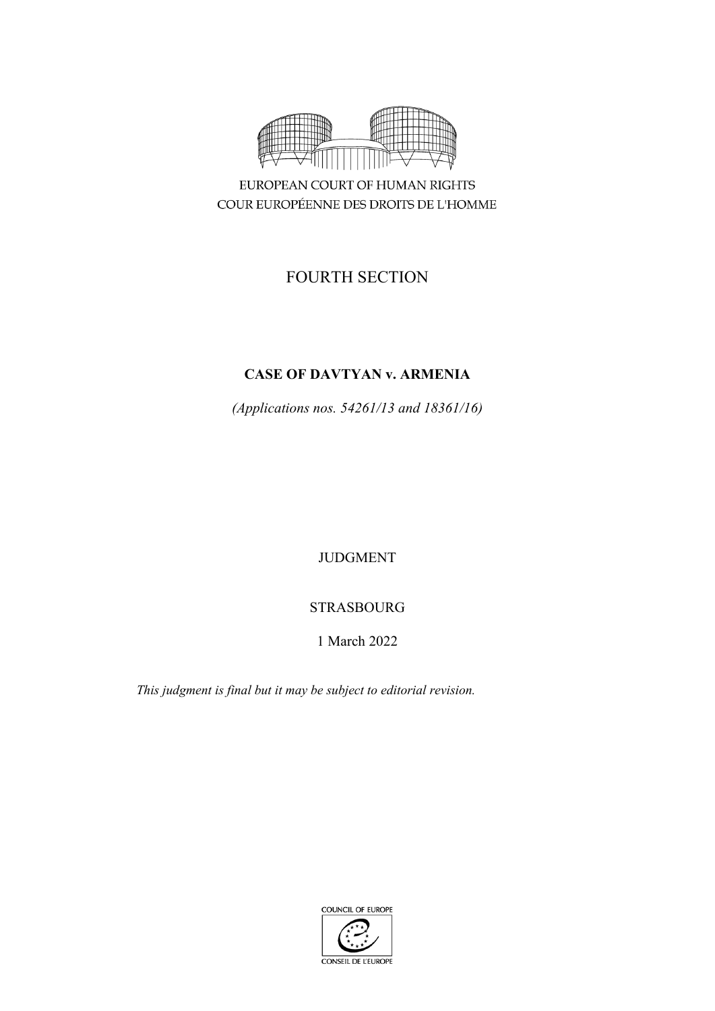

COUR EUROPÉENNE DES DROITS DE L'HOMME

# FOURTH SECTION

# **CASE OF DAVTYAN v. ARMENIA**

*(Applications nos. 54261/13 and 18361/16)*

JUDGMENT

# STRASBOURG

# 1 March 2022

*This judgment is final but it may be subject to editorial revision.*

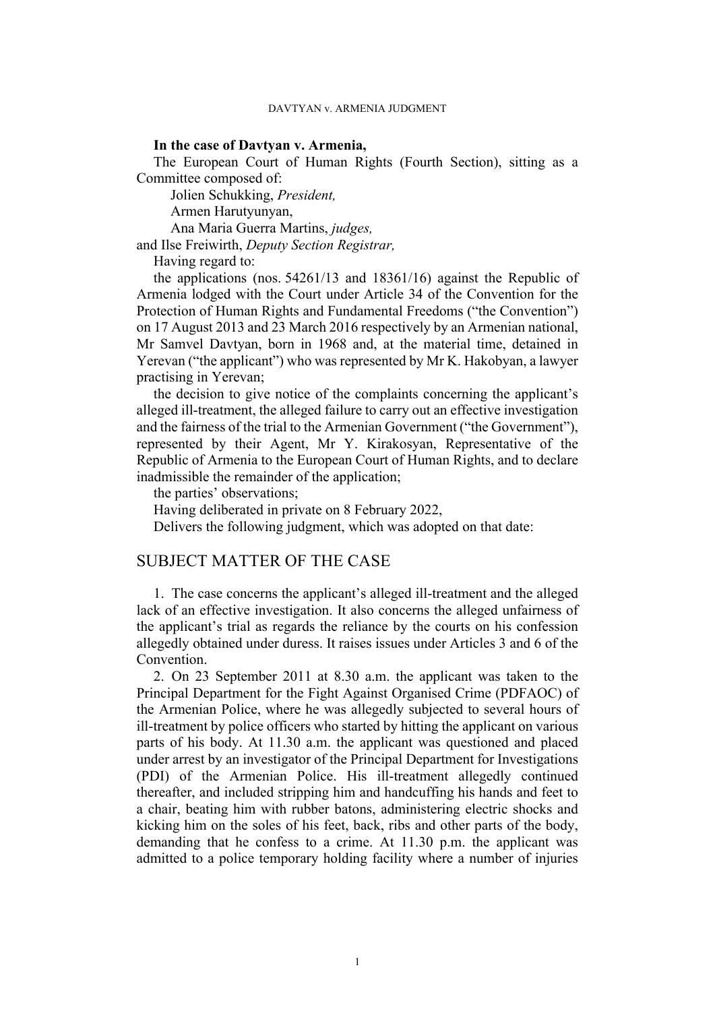### **In the case of Davtyan v. Armenia,**

The European Court of Human Rights (Fourth Section), sitting as a Committee composed of:

Jolien Schukking, *President,*

Armen Harutyunyan,

Ana Maria Guerra Martins, *judges,*

and Ilse Freiwirth, *Deputy Section Registrar,*

Having regard to:

the applications (nos. 54261/13 and 18361/16) against the Republic of Armenia lodged with the Court under Article 34 of the Convention for the Protection of Human Rights and Fundamental Freedoms ("the Convention") on 17 August 2013 and 23 March 2016 respectively by an Armenian national, Mr Samvel Davtyan, born in 1968 and, at the material time, detained in Yerevan ("the applicant") who was represented by Mr K. Hakobyan, a lawyer practising in Yerevan;

the decision to give notice of the complaints concerning the applicant's alleged ill-treatment, the alleged failure to carry out an effective investigation and the fairness of the trial to the Armenian Government ("the Government"), represented by their Agent, Mr Y. Kirakosyan, Representative of the Republic of Armenia to the European Court of Human Rights, and to declare inadmissible the remainder of the application;

the parties' observations;

Having deliberated in private on 8 February 2022,

Delivers the following judgment, which was adopted on that date:

## SUBJECT MATTER OF THE CASE

1. The case concerns the applicant's alleged ill-treatment and the alleged lack of an effective investigation. It also concerns the alleged unfairness of the applicant's trial as regards the reliance by the courts on his confession allegedly obtained under duress. It raises issues under Articles 3 and 6 of the Convention.

<span id="page-2-0"></span>2. On 23 September 2011 at 8.30 a.m. the applicant was taken to the Principal Department for the Fight Against Organised Crime (PDFAOC) of the Armenian Police, where he was allegedly subjected to several hours of ill-treatment by police officers who started by hitting the applicant on various parts of his body. At 11.30 a.m. the applicant was questioned and placed under arrest by an investigator of the Principal Department for Investigations (PDI) of the Armenian Police. His ill-treatment allegedly continued thereafter, and included stripping him and handcuffing his hands and feet to a chair, beating him with rubber batons, administering electric shocks and kicking him on the soles of his feet, back, ribs and other parts of the body, demanding that he confess to a crime. At 11.30 p.m. the applicant was admitted to a police temporary holding facility where a number of injuries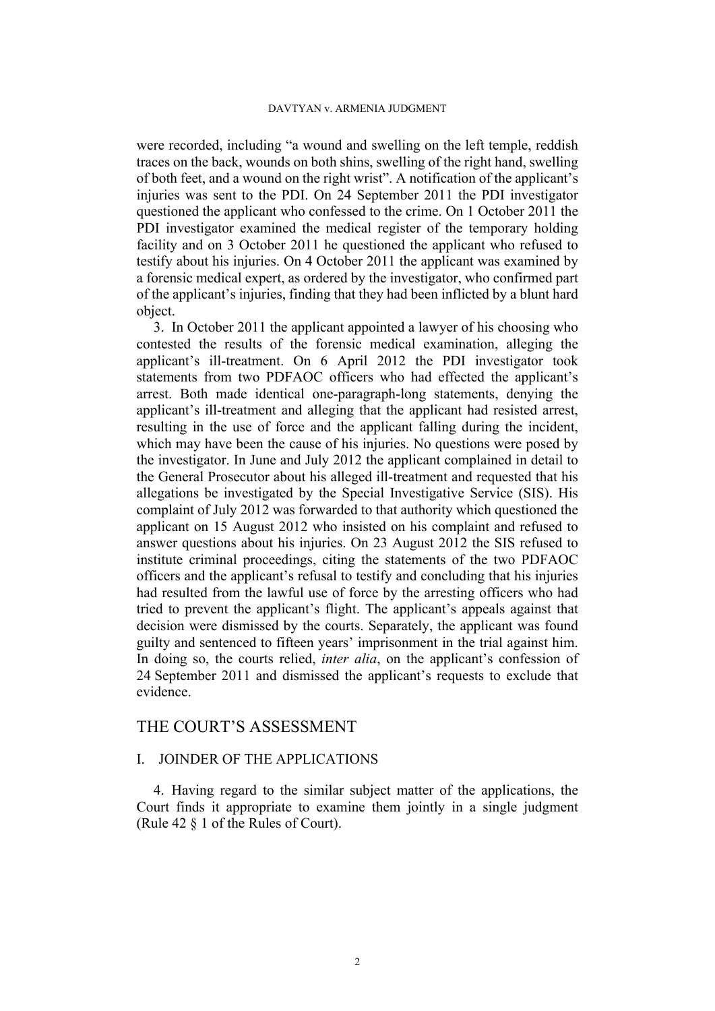#### DAVTYAN v. ARMENIA JUDGMENT

were recorded, including "a wound and swelling on the left temple, reddish traces on the back, wounds on both shins, swelling of the right hand, swelling of both feet, and a wound on the right wrist". A notification of the applicant's injuries was sent to the PDI. On 24 September 2011 the PDI investigator questioned the applicant who confessed to the crime. On 1 October 2011 the PDI investigator examined the medical register of the temporary holding facility and on 3 October 2011 he questioned the applicant who refused to testify about his injuries. On 4 October 2011 the applicant was examined by a forensic medical expert, as ordered by the investigator, who confirmed part of the applicant's injuries, finding that they had been inflicted by a blunt hard object.

<span id="page-3-0"></span>3. In October 2011 the applicant appointed a lawyer of his choosing who contested the results of the forensic medical examination, alleging the applicant's ill-treatment. On 6 April 2012 the PDI investigator took statements from two PDFAOC officers who had effected the applicant's arrest. Both made identical one-paragraph-long statements, denying the applicant's ill-treatment and alleging that the applicant had resisted arrest, resulting in the use of force and the applicant falling during the incident, which may have been the cause of his injuries. No questions were posed by the investigator. In June and July 2012 the applicant complained in detail to the General Prosecutor about his alleged ill-treatment and requested that his allegations be investigated by the Special Investigative Service (SIS). His complaint of July 2012 was forwarded to that authority which questioned the applicant on 15 August 2012 who insisted on his complaint and refused to answer questions about his injuries. On 23 August 2012 the SIS refused to institute criminal proceedings, citing the statements of the two PDFAOC officers and the applicant's refusal to testify and concluding that his injuries had resulted from the lawful use of force by the arresting officers who had tried to prevent the applicant's flight. The applicant's appeals against that decision were dismissed by the courts. Separately, the applicant was found guilty and sentenced to fifteen years' imprisonment in the trial against him. In doing so, the courts relied, *inter alia*, on the applicant's confession of 24 September 2011 and dismissed the applicant's requests to exclude that evidence.

## THE COURT'S ASSESSMENT

### I. JOINDER OF THE APPLICATIONS

4. Having regard to the similar subject matter of the applications, the Court finds it appropriate to examine them jointly in a single judgment (Rule 42 § 1 of the Rules of Court).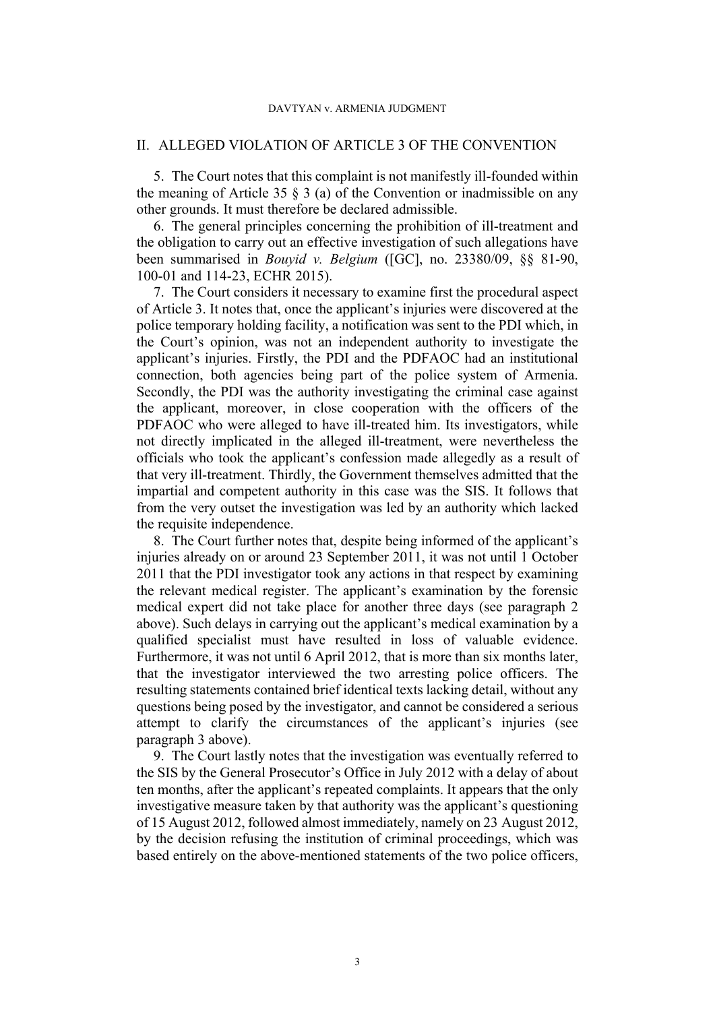#### II. ALLEGED VIOLATION OF ARTICLE 3 OF THE CONVENTION

5. The Court notes that this complaint is not manifestly ill-founded within the meaning of Article 35  $\S$  3 (a) of the Convention or inadmissible on any other grounds. It must therefore be declared admissible.

6. The general principles concerning the prohibition of ill-treatment and the obligation to carry out an effective investigation of such allegations have been summarised in *Bouyid v. Belgium* ([GC], no. 23380/09, §§ 81-90, 100-01 and 114-23, ECHR 2015).

7. The Court considers it necessary to examine first the procedural aspect of Article 3. It notes that, once the applicant's injuries were discovered at the police temporary holding facility, a notification was sent to the PDI which, in the Court's opinion, was not an independent authority to investigate the applicant's injuries. Firstly, the PDI and the PDFAOC had an institutional connection, both agencies being part of the police system of Armenia. Secondly, the PDI was the authority investigating the criminal case against the applicant, moreover, in close cooperation with the officers of the PDFAOC who were alleged to have ill-treated him. Its investigators, while not directly implicated in the alleged ill-treatment, were nevertheless the officials who took the applicant's confession made allegedly as a result of that very ill-treatment. Thirdly, the Government themselves admitted that the impartial and competent authority in this case was the SIS. It follows that from the very outset the investigation was led by an authority which lacked the requisite independence.

8. The Court further notes that, despite being informed of the applicant's injuries already on or around 23 September 2011, it was not until 1 October 2011 that the PDI investigator took any actions in that respect by examining the relevant medical register. The applicant's examination by the forensic medical expert did not take place for another three days (see paragraph [2](#page-2-0)  above). Such delays in carrying out the applicant's medical examination by a qualified specialist must have resulted in loss of valuable evidence. Furthermore, it was not until 6 April 2012, that is more than six months later, that the investigator interviewed the two arresting police officers. The resulting statements contained brief identical texts lacking detail, without any questions being posed by the investigator, and cannot be considered a serious attempt to clarify the circumstances of the applicant's injuries (see paragraph [3](#page-3-0) above).

9. The Court lastly notes that the investigation was eventually referred to the SIS by the General Prosecutor's Office in July 2012 with a delay of about ten months, after the applicant's repeated complaints. It appears that the only investigative measure taken by that authority was the applicant's questioning of 15 August 2012, followed almost immediately, namely on 23 August 2012, by the decision refusing the institution of criminal proceedings, which was based entirely on the above-mentioned statements of the two police officers,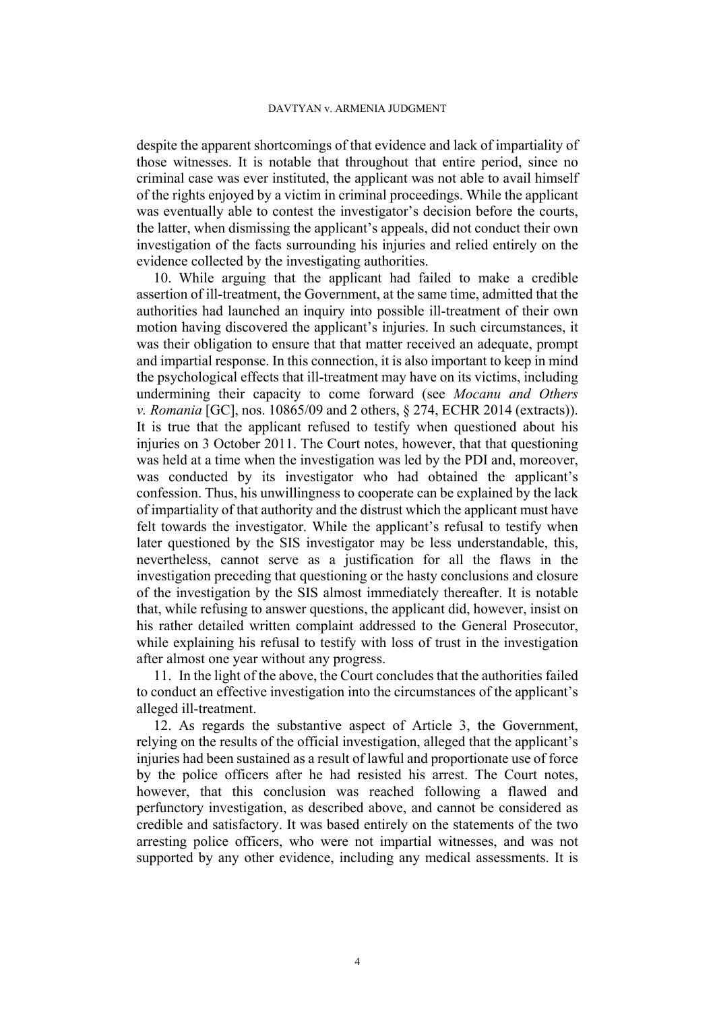despite the apparent shortcomings of that evidence and lack of impartiality of those witnesses. It is notable that throughout that entire period, since no criminal case was ever instituted, the applicant was not able to avail himself of the rights enjoyed by a victim in criminal proceedings. While the applicant was eventually able to contest the investigator's decision before the courts, the latter, when dismissing the applicant's appeals, did not conduct their own investigation of the facts surrounding his injuries and relied entirely on the evidence collected by the investigating authorities.

10. While arguing that the applicant had failed to make a credible assertion of ill-treatment, the Government, at the same time, admitted that the authorities had launched an inquiry into possible ill-treatment of their own motion having discovered the applicant's injuries. In such circumstances, it was their obligation to ensure that that matter received an adequate, prompt and impartial response. In this connection, it is also important to keep in mind the psychological effects that ill-treatment may have on its victims, including undermining their capacity to come forward (see *Mocanu and Others v. Romania* [GC], nos. 10865/09 and 2 others, § 274, ECHR 2014 (extracts)). It is true that the applicant refused to testify when questioned about his injuries on 3 October 2011. The Court notes, however, that that questioning was held at a time when the investigation was led by the PDI and, moreover, was conducted by its investigator who had obtained the applicant's confession. Thus, his unwillingness to cooperate can be explained by the lack of impartiality of that authority and the distrust which the applicant must have felt towards the investigator. While the applicant's refusal to testify when later questioned by the SIS investigator may be less understandable, this, nevertheless, cannot serve as a justification for all the flaws in the investigation preceding that questioning or the hasty conclusions and closure of the investigation by the SIS almost immediately thereafter. It is notable that, while refusing to answer questions, the applicant did, however, insist on his rather detailed written complaint addressed to the General Prosecutor, while explaining his refusal to testify with loss of trust in the investigation after almost one year without any progress.

11. In the light of the above, the Court concludes that the authorities failed to conduct an effective investigation into the circumstances of the applicant's alleged ill-treatment.

12. As regards the substantive aspect of Article 3, the Government, relying on the results of the official investigation, alleged that the applicant's injuries had been sustained as a result of lawful and proportionate use of force by the police officers after he had resisted his arrest. The Court notes, however, that this conclusion was reached following a flawed and perfunctory investigation, as described above, and cannot be considered as credible and satisfactory. It was based entirely on the statements of the two arresting police officers, who were not impartial witnesses, and was not supported by any other evidence, including any medical assessments. It is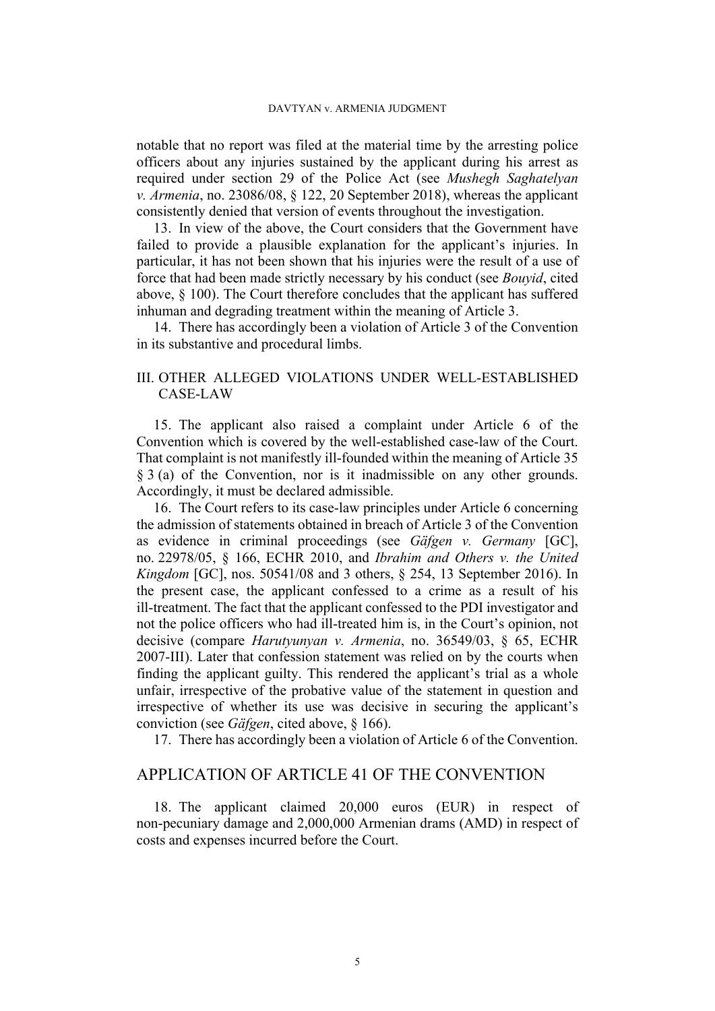#### DAVTYAN v. ARMENIA JUDGMENT

notable that no report was filed at the material time by the arresting police officers about any injuries sustained by the applicant during his arrest as required under section 29 of the Police Act (see *Mushegh Saghatelyan v. Armenia*, no. 23086/08, § 122, 20 September 2018), whereas the applicant consistently denied that version of events throughout the investigation.

13. In view of the above, the Court considers that the Government have failed to provide a plausible explanation for the applicant's injuries. In particular, it has not been shown that his injuries were the result of a use of force that had been made strictly necessary by his conduct (see *Bouyid*, cited above, § 100). The Court therefore concludes that the applicant has suffered inhuman and degrading treatment within the meaning of Article 3.

14. There has accordingly been a violation of Article 3 of the Convention in its substantive and procedural limbs.

### III. OTHER ALLEGED VIOLATIONS UNDER WELL-ESTABLISHED CASE-LAW

15. The applicant also raised a complaint under Article 6 of the Convention which is covered by the well-established case-law of the Court. That complaint is not manifestly ill-founded within the meaning of Article 35 § 3 (a) of the Convention, nor is it inadmissible on any other grounds. Accordingly, it must be declared admissible.

16. The Court refers to its case-law principles under Article 6 concerning the admission of statements obtained in breach of Article 3 of the Convention as evidence in criminal proceedings (see *Gäfgen v. Germany* [GC], no. 22978/05, § 166, ECHR 2010, and *Ibrahim and Others v. the United Kingdom* [GC], nos. 50541/08 and 3 others, § 254, 13 September 2016). In the present case, the applicant confessed to a crime as a result of his ill-treatment. The fact that the applicant confessed to the PDI investigator and not the police officers who had ill-treated him is, in the Court's opinion, not decisive (compare *Harutyunyan v. Armenia*, no. 36549/03, § 65, ECHR 2007-III). Later that confession statement was relied on by the courts when finding the applicant guilty. This rendered the applicant's trial as a whole unfair, irrespective of the probative value of the statement in question and irrespective of whether its use was decisive in securing the applicant's conviction (see *Gäfgen*, cited above, § 166).

17. There has accordingly been a violation of Article 6 of the Convention.

## APPLICATION OF ARTICLE 41 OF THE CONVENTION

18. The applicant claimed 20,000 euros (EUR) in respect of non-pecuniary damage and 2,000,000 Armenian drams (AMD) in respect of costs and expenses incurred before the Court.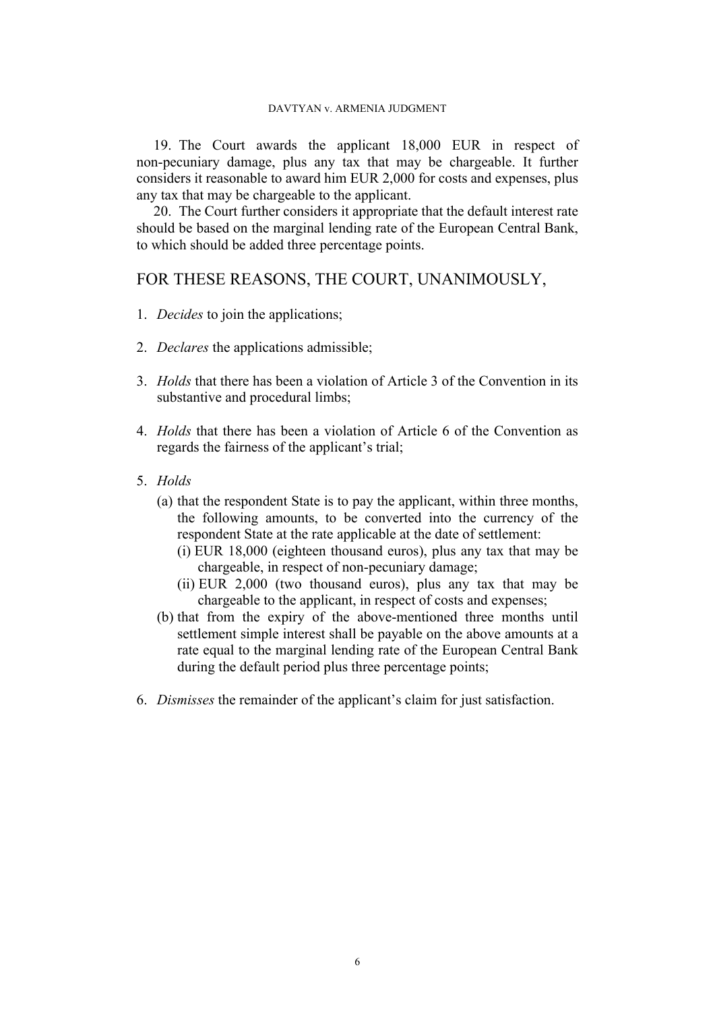19. The Court awards the applicant 18,000 EUR in respect of non-pecuniary damage, plus any tax that may be chargeable. It further considers it reasonable to award him EUR 2,000 for costs and expenses, plus any tax that may be chargeable to the applicant.

20. The Court further considers it appropriate that the default interest rate should be based on the marginal lending rate of the European Central Bank, to which should be added three percentage points.

## FOR THESE REASONS, THE COURT, UNANIMOUSLY,

- 1. *Decides* to join the applications;
- 2. *Declares* the applications admissible;
- 3. *Holds* that there has been a violation of Article 3 of the Convention in its substantive and procedural limbs;
- 4. *Holds* that there has been a violation of Article 6 of the Convention as regards the fairness of the applicant's trial;
- 5. *Holds*
	- (a) that the respondent State is to pay the applicant, within three months, the following amounts, to be converted into the currency of the respondent State at the rate applicable at the date of settlement:
		- (i) EUR 18,000 (eighteen thousand euros), plus any tax that may be chargeable, in respect of non-pecuniary damage;
		- (ii) EUR 2,000 (two thousand euros), plus any tax that may be chargeable to the applicant, in respect of costs and expenses;
	- (b) that from the expiry of the above-mentioned three months until settlement simple interest shall be payable on the above amounts at a rate equal to the marginal lending rate of the European Central Bank during the default period plus three percentage points;
- 6. *Dismisses* the remainder of the applicant's claim for just satisfaction.